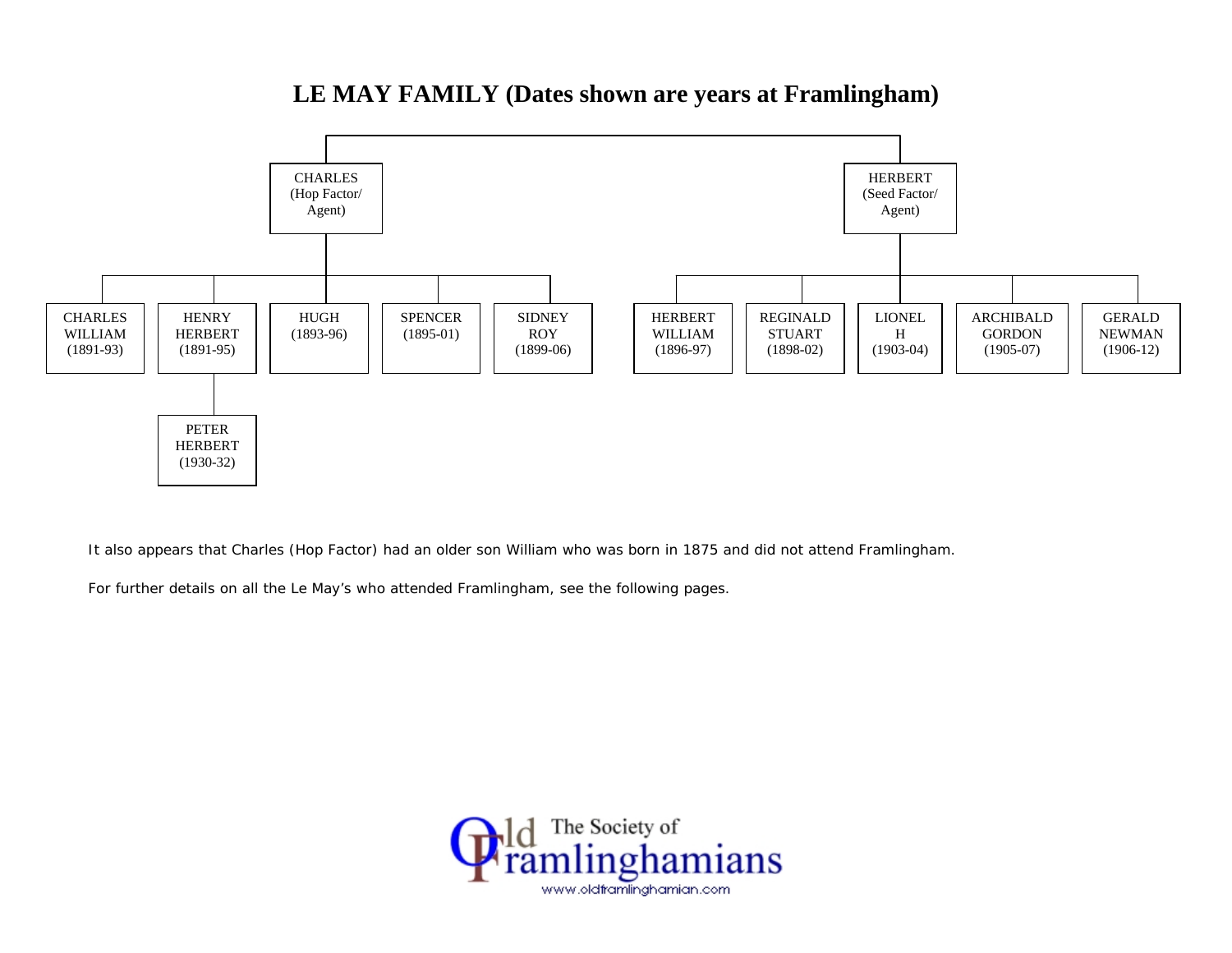# **LE MAY FAMILY (Dates shown are years at Framlingham)**



It also appears that Charles (Hop Factor) had an older son William who was born in 1875 and did not attend Framlingham.

For further details on all the Le May's who attended Framlingham, see the following pages.

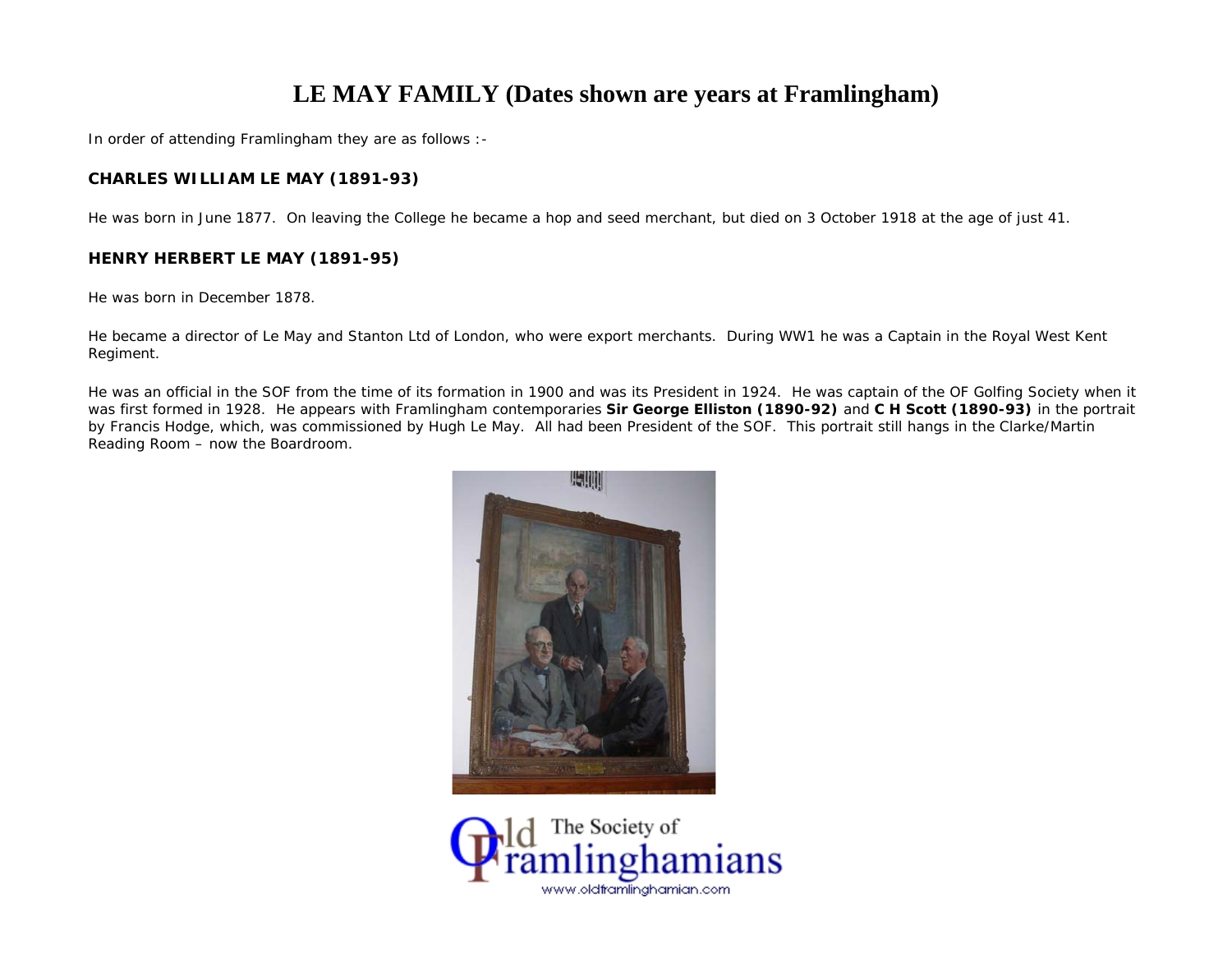# **LE MAY FAMILY (Dates shown are years at Framlingham)**

In order of attending Framlingham they are as follows :-

## **CHARLES WILLIAM LE MAY (1891-93)**

He was born in June 1877. On leaving the College he became a hop and seed merchant, but died on 3 October 1918 at the age of just 41.

## **HENRY HERBERT LE MAY (1891-95)**

He was born in December 1878.

He became a director of Le May and Stanton Ltd of London, who were export merchants. During WW1 he was a Captain in the Royal West Kent Regiment.

He was an official in the SOF from the time of its formation in 1900 and was its President in 1924. He was captain of the OF Golfing Society when it was first formed in 1928. He appears with Framlingham contemporaries **Sir George Elliston (1890-92)** and **C H Scott (1890-93)** in the portrait by Francis Hodge, which, was commissioned by Hugh Le May. All had been President of the SOF. This portrait still hangs in the Clarke/Martin Reading Room – now the Boardroom.



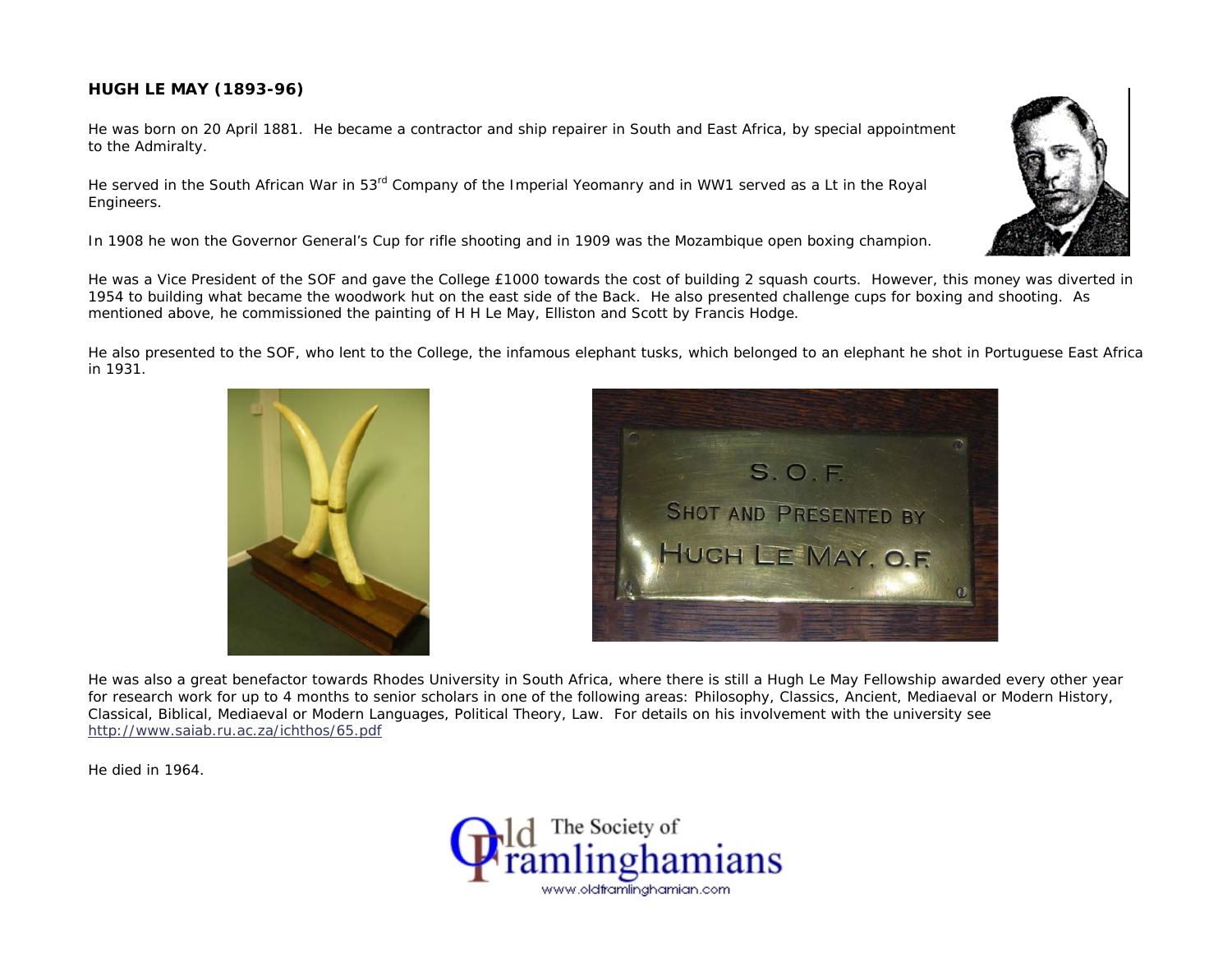# **HUGH LE MAY (1893-96)**

He was born on 20 April 1881. He became a contractor and ship repairer in South and East Africa, by special appointment to the Admiralty.

He served in the South African War in 53<sup>rd</sup> Company of the Imperial Yeomanry and in WW1 served as a Lt in the Royal Engineers.

In 1908 he won the Governor General's Cup for rifle shooting and in 1909 was the Mozambique open boxing champion.

He was a Vice President of the SOF and gave the College £1000 towards the cost of building 2 squash courts. However, this money was diverted in 1954 to building what became the woodwork hut on the east side of the Back. He also presented challenge cups for boxing and shooting. As mentioned above, he commissioned the painting of H H Le May, Elliston and Scott by Francis Hodge.

He also presented to the SOF, who lent to the College, the infamous elephant tusks, which belonged to an elephant he shot in Portuguese East Africa in 1931.

He was also a great benefactor towards Rhodes University in South Africa, where there is still a Hugh Le May Fellowship awarded every other year for research work for up to 4 months to senior scholars in one of the following areas: Philosophy, Classics, Ancient, Mediaeval or Modern History, Classical, Biblical, Mediaeval or Modern Languages, Political Theory, Law. For details on his involvement with the university see http://www.saiab.ru.ac.za/ichthos/65.pdf

He died in 1964.





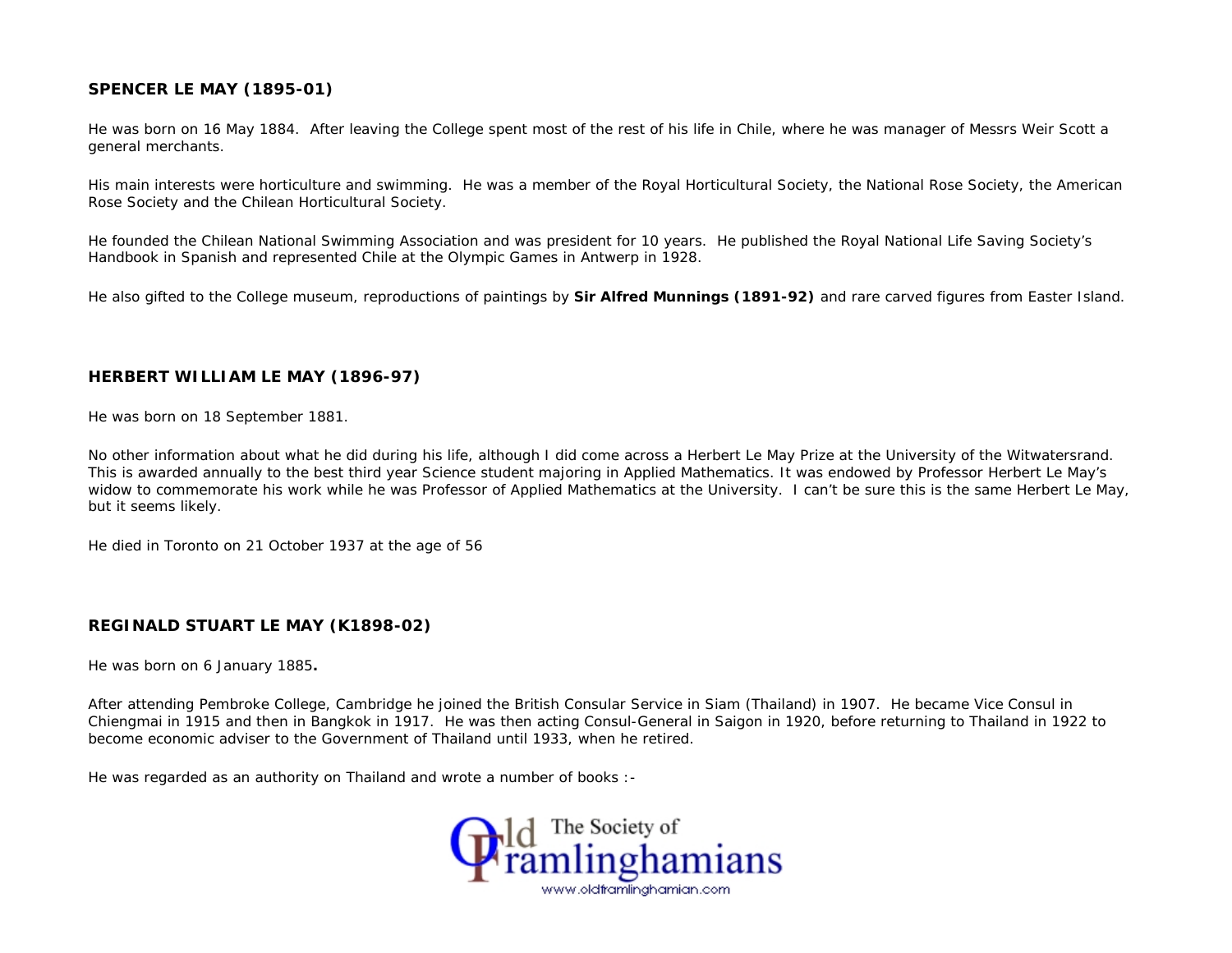## **SPENCER LE MAY (1895-01)**

He was born on 16 May 1884. After leaving the College spent most of the rest of his life in Chile, where he was manager of Messrs Weir Scott a general merchants.

His main interests were horticulture and swimming. He was a member of the Royal Horticultural Society, the National Rose Society, the American Rose Society and the Chilean Horticultural Society.

He founded the Chilean National Swimming Association and was president for 10 years. He published the Royal National Life Saving Society's Handbook in Spanish and represented Chile at the Olympic Games in Antwerp in 1928.

He also gifted to the College museum, reproductions of paintings by **Sir Alfred Munnings (1891-92)** and rare carved figures from Easter Island.

### **HERBERT WILLIAM LE MAY (1896-97)**

He was born on 18 September 1881.

No other information about what he did during his life, although I did come across a Herbert Le May Prize at the University of the Witwatersrand. This is awarded annually to the best third year Science student majoring in Applied Mathematics. It was endowed by Professor Herbert Le May's widow to commemorate his work while he was Professor of Applied Mathematics at the University. I can't be sure this is the same Herbert Le May, but it seems likely.

He died in Toronto on 21 October 1937 at the age of 56

#### **REGINALD STUART LE MAY (K1898-02)**

He was born on 6 January 1885**.**

After attending Pembroke College, Cambridge he joined the British Consular Service in Siam (Thailand) in 1907. He became Vice Consul in Chiengmai in 1915 and then in Bangkok in 1917. He was then acting Consul-General in Saigon in 1920, before returning to Thailand in 1922 to become economic adviser to the Government of Thailand until 1933, when he retired.

He was regarded as an authority on Thailand and wrote a number of books :-

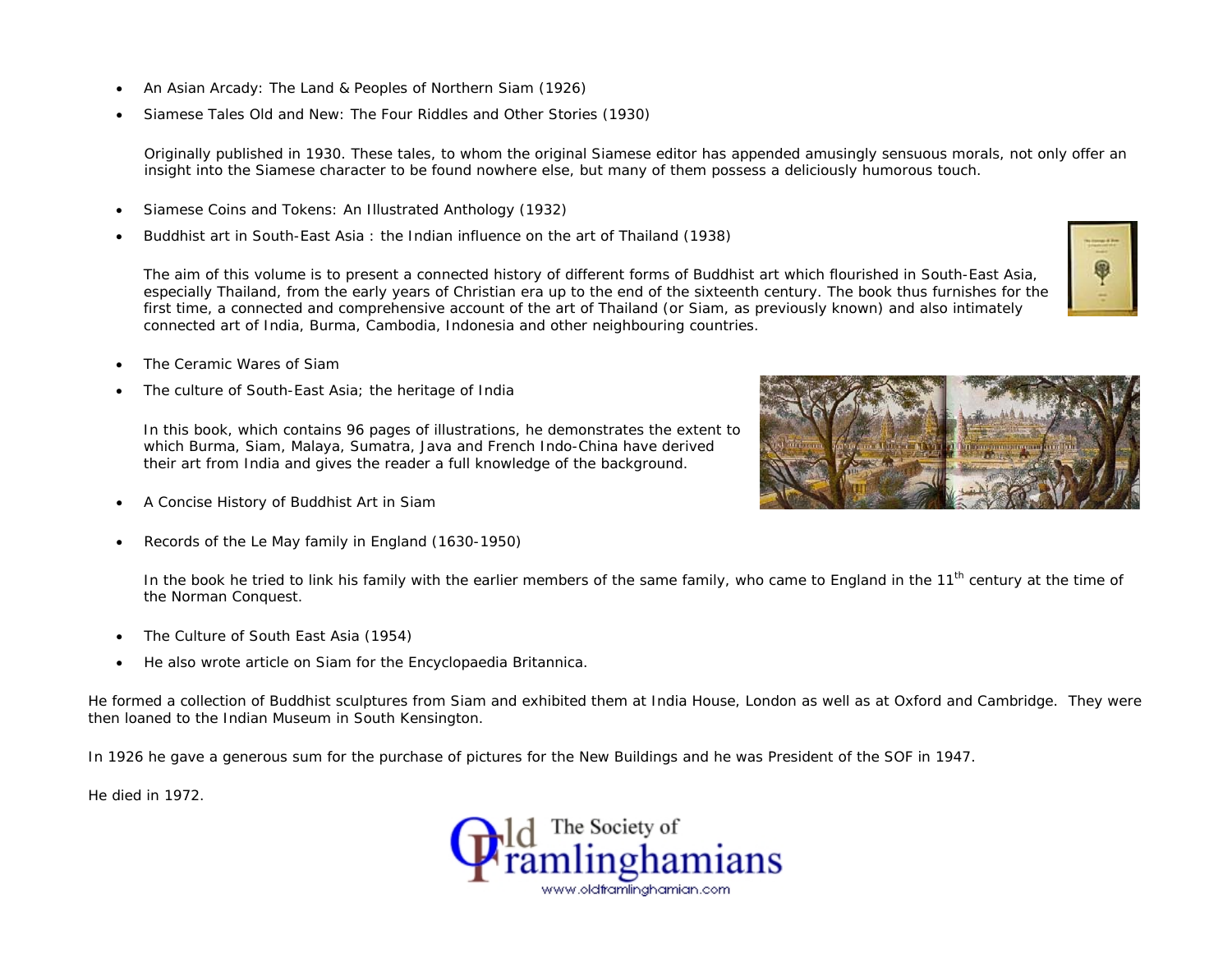- An Asian Arcady: The Land & Peoples of Northern Siam (1926)
- Siamese Tales Old and New: The Four Riddles and Other Stories (1930)

Originally published in 1930. These tales, to whom the original Siamese editor has appended amusingly sensuous morals, not only offer an insight into the Siamese character to be found nowhere else, but many of them possess a deliciously humorous touch.

- Siamese Coins and Tokens: An Illustrated Anthology (1932)
- Buddhist art in South-East Asia : the Indian influence on the art of Thailand (1938)

The aim of this volume is to present a connected history of different forms of Buddhist art which flourished in South-East Asia, especially Thailand, from the early years of Christian era up to the end of the sixteenth century. The book thus furnishes for the first time, a connected and comprehensive account of the art of Thailand (or Siam, as previously known) and also intimately connected art of India, Burma, Cambodia, Indonesia and other neighbouring countries.

- The Ceramic Wares of Siam
- The culture of South-East Asia; the heritage of India

In this book, which contains 96 pages of illustrations, he demonstrates the extent to which Burma, Siam, Malaya, Sumatra, Java and French Indo-China have derived their art from India and gives the reader a full knowledge of the background.

- A Concise History of Buddhist Art in Siam
- Records of the Le May family in England (1630-1950)

In the book he tried to link his family with the earlier members of the same family, who came to England in the 11<sup>th</sup> century at the time of the Norman Conquest.

- The Culture of South East Asia (1954)
- He also wrote article on Siam for the Encyclopaedia Britannica.

He formed a collection of Buddhist sculptures from Siam and exhibited them at India House, London as well as at Oxford and Cambridge. They were then loaned to the Indian Museum in South Kensington.

In 1926 he gave a generous sum for the purchase of pictures for the New Buildings and he was President of the SOF in 1947.

He died in 1972.





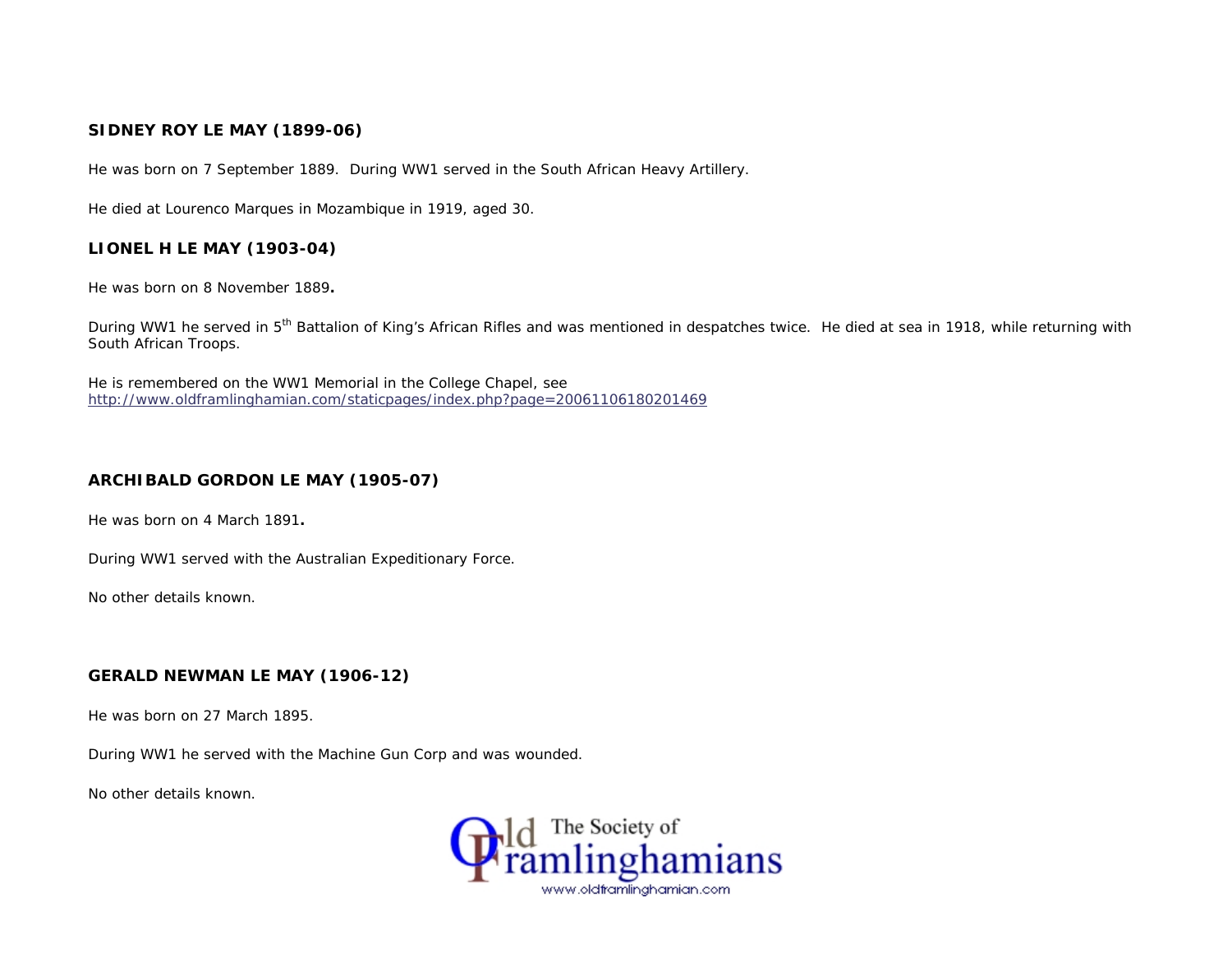## **SIDNEY ROY LE MAY (1899-06)**

He was born on 7 September 1889. During WW1 served in the South African Heavy Artillery.

He died at Lourenco Marques in Mozambique in 1919, aged 30.

### **LIONEL H LE MAY (1903-04)**

He was born on 8 November 1889**.**

During WW1 he served in 5<sup>th</sup> Battalion of King's African Rifles and was mentioned in despatches twice. He died at sea in 1918, while returning with South African Troops.

He is remembered on the WW1 Memorial in the College Chapel, see http://www.oldframlinghamian.com/staticpages/index.php?page=20061106180201469

## **ARCHIBALD GORDON LE MAY (1905-07)**

He was born on 4 March 1891**.** 

During WW1 served with the Australian Expeditionary Force.

No other details known.

#### **GERALD NEWMAN LE MAY (1906-12)**

He was born on 27 March 1895.

During WW1 he served with the Machine Gun Corp and was wounded.

No other details known.